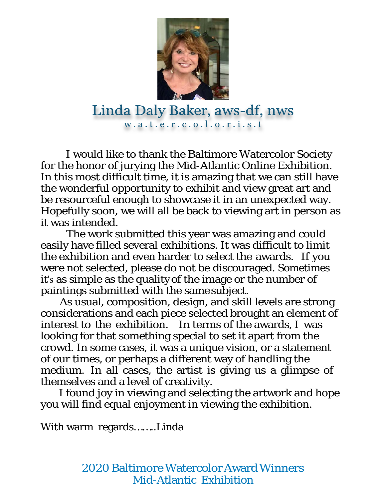

# Linda Daly Baker, aws-df, nws w.a.t.e.r.c.o.l.o.r.i.s.t

I would like to thank the Baltimore Watercolor Society for the honor of jurying the Mid-Atlantic Online Exhibition. In this most difficult time, it is amazing that we can still have the wonderful opportunity to exhibit and view great art and be resourceful enough to showcase it in an unexpected way. Hopefully soon, we will all be back to viewing art in person as it was intended.

The work submitted this year was amazing and could easily have filled several exhibitions. It was difficult to limit the exhibition and even harder to select the awards. If you were not selected, please do not be discouraged. Sometimes it's as simple as the quality of the image or the number of paintings submitted with the same subject.

As usual, composition, design, and skill levels are strong considerations and each piece selected brought an element of interest to the exhibition. In terms of the awards, I was looking for that something special to set it apart from the crowd. In some cases, it was a unique vision, or a statement of our times, or perhaps a different way of handling the medium. In all cases, the artist is giving us a glimpse of themselves and a level of creativity.

I found joy in viewing and selecting the artwork and hope you will find equal enjoyment in viewing the exhibition.

With warm regards……..Linda

2020 Baltimore Watercolor Award Winners Mid-Atlantic Exhibition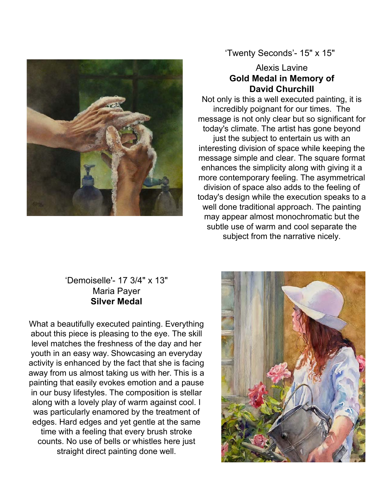

'Twenty Seconds'- 15" x 15"

#### Alexis Lavine **Gold Medal in Memory of David Churchill**

Not only is this a well executed painting, it is incredibly poignant for our times. The message is not only clear but so significant for today's climate. The artist has gone beyond just the subject to entertain us with an interesting division of space while keeping the message simple and clear. The square format enhances the simplicity along with giving it a more contemporary feeling. The asymmetrical division of space also adds to the feeling of today's design while the execution speaks to a well done traditional approach. The painting may appear almost monochromatic but the subtle use of warm and cool separate the subject from the narrative nicely.

#### 'Demoiselle'- 17 3/4" x 13" Maria Payer **Silver Medal**

What a beautifully executed painting. Everything about this piece is pleasing to the eye. The skill level matches the freshness of the day and her youth in an easy way. Showcasing an everyday activity is enhanced by the fact that she is facing away from us almost taking us with her. This is a painting that easily evokes emotion and a pause in our busy lifestyles. The composition is stellar along with a lovely play of warm against cool. I was particularly enamored by the treatment of edges. Hard edges and yet gentle at the same time with a feeling that every brush stroke counts. No use of bells or whistles here just straight direct painting done well.

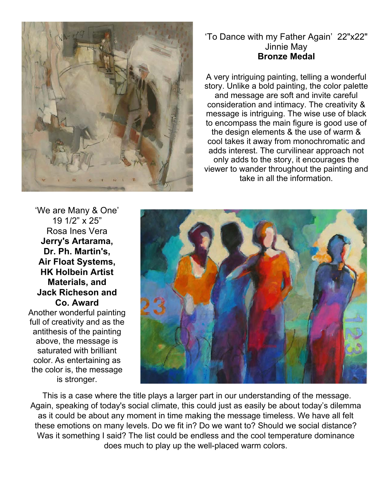

#### 'To Dance with my Father Again' 22"x22" Jinnie May **Bronze Medal**

A very intriguing painting, telling a wonderful story. Unlike a bold painting, the color palette and message are soft and invite careful consideration and intimacy. The creativity & message is intriguing. The wise use of black to encompass the main figure is good use of the design elements & the use of warm & cool takes it away from monochromatic and adds interest. The curvilinear approach not only adds to the story, it encourages the viewer to wander throughout the painting and take in all the information.

'We are Many & One' 19 1/2" x 25" Rosa Ines Vera **Jerry's Artarama, Dr. Ph. Martin's, Air Float Systems, HK Holbein Artist Materials, and Jack Richeson and Co. Award**  Another wonderful painting full of creativity and as the antithesis of the painting above, the message is saturated with brilliant color. As entertaining as the color is, the message

is stronger.



This is a case where the title plays a larger part in our understanding of the message. Again, speaking of today's social climate, this could just as easily be about today's dilemma as it could be about any moment in time making the message timeless. We have all felt these emotions on many levels. Do we fit in? Do we want to? Should we social distance? Was it something I said? The list could be endless and the cool temperature dominance does much to play up the well-placed warm colors.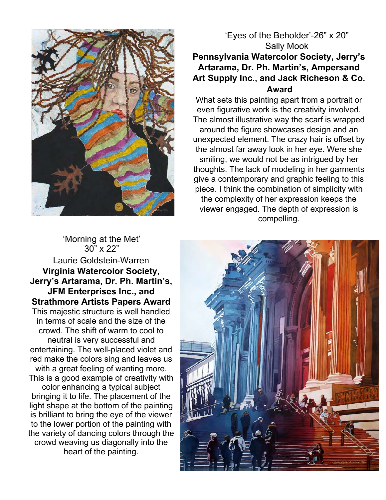

## 'Eyes of the Beholder'-26" x 20" Sally Mook **Pennsylvania Watercolor Society, Jerry's Artarama, Dr. Ph. Martin's, Ampersand Art Supply Inc., and Jack Richeson & Co. Award**

What sets this painting apart from a portrait or even figurative work is the creativity involved. The almost illustrative way the scarf is wrapped around the figure showcases design and an unexpected element. The crazy hair is offset by the almost far away look in her eye. Were she smiling, we would not be as intrigued by her thoughts. The lack of modeling in her garments give a contemporary and graphic feeling to this piece. I think the combination of simplicity with the complexity of her expression keeps the viewer engaged. The depth of expression is compelling.

'Morning at the Met' 30" x 22" Laurie Goldstein-Warren **Virginia Watercolor Society, Jerry's Artarama, Dr. Ph. Martin's, JFM Enterprises Inc., and Strathmore Artists Papers Award**  This majestic structure is well handled in terms of scale and the size of the crowd. The shift of warm to cool to neutral is very successful and entertaining. The well-placed violet and red make the colors sing and leaves us with a great feeling of wanting more. This is a good example of creativity with color enhancing a typical subject bringing it to life. The placement of the light shape at the bottom of the painting is brilliant to bring the eye of the viewer to the lower portion of the painting with the variety of dancing colors through the crowd weaving us diagonally into the heart of the painting.

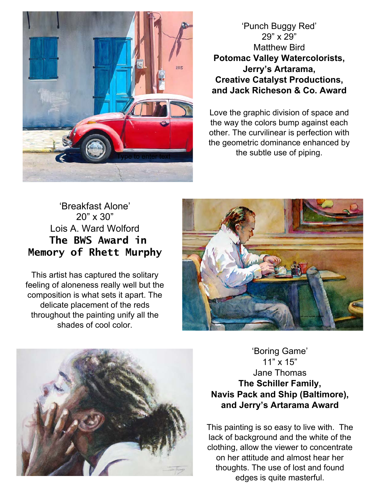

'Punch Buggy Red' 29" x 29" Matthew Bird **Potomac Valley Watercolorists, Jerry's Artarama, Creative Catalyst Productions, and Jack Richeson & Co. Award** 

Love the graphic division of space and the way the colors bump against each other. The curvilinear is perfection with the geometric dominance enhanced by the subtle use of piping.

# 'Breakfast Alone' 20" x 30" Lois A. Ward Wolford **The BWS Award in Memory of Rhett Murphy**

This artist has captured the solitary feeling of aloneness really well but the composition is what sets it apart. The delicate placement of the reds throughout the painting unify all the shades of cool color.





'Boring Game' 11" x 15" Jane Thomas **The Schiller Family, Navis Pack and Ship (Baltimore), and Jerry's Artarama Award** 

This painting is so easy to live with. The lack of background and the white of the clothing, allow the viewer to concentrate on her attitude and almost hear her thoughts. The use of lost and found edges is quite masterful.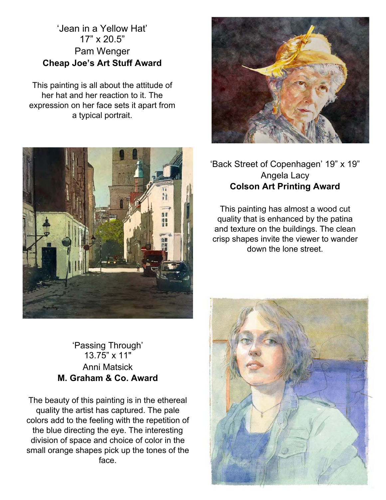# 'Jean in a Yellow Hat' 17" x 20.5" Pam Wenger **Cheap Joe's Art Stuff Award**

This painting is all about the attitude of her hat and her reaction to it. The expression on her face sets it apart from a typical portrait.



### 'Passing Through' 13.75" x 11" Anni Matsick **M. Graham & Co. Award**

The beauty of this painting is in the ethereal quality the artist has captured. The pale colors add to the feeling with the repetition of the blue directing the eye. The interesting division of space and choice of color in the small orange shapes pick up the tones of the face.



## 'Back Street of Copenhagen' 19" x 19" Angela Lacy **Colson Art Printing Award**

This painting has almost a wood cut quality that is enhanced by the patina and texture on the buildings. The clean crisp shapes invite the viewer to wander down the lone street.

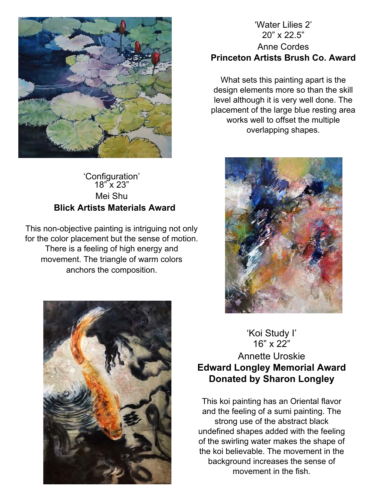

#### 'Configuration' 18" x 23" Mei Shu **Blick Artists Materials Award**

This non-objective painting is intriguing not only for the color placement but the sense of motion. There is a feeling of high energy and movement. The triangle of warm colors anchors the composition.



## 'Water Lilies 2' 20" x 22.5" Anne Cordes **Princeton Artists Brush Co. Award**

What sets this painting apart is the design elements more so than the skill level although it is very well done. The placement of the large blue resting area works well to offset the multiple overlapping shapes.



## 'Koi Study I' 16" x 22" Annette Uroskie **Edward Longley Memorial Award Donated by Sharon Longley**

This koi painting has an Oriental flavor and the feeling of a sumi painting. The strong use of the abstract black undefined shapes added with the feeling of the swirling water makes the shape of the koi believable. The movement in the background increases the sense of movement in the fish.